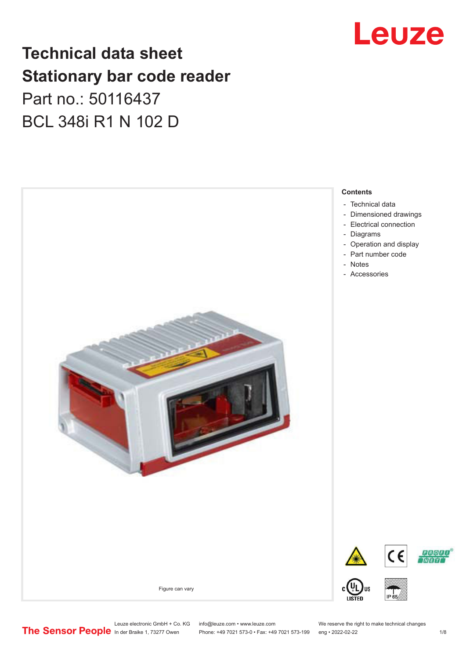## Leuze

## **Technical data sheet Stationary bar code reader** Part no.: 50116437 BCL 348i R1 N 102 D



Leuze electronic GmbH + Co. KG info@leuze.com • www.leuze.com We reserve the right to make technical changes<br>
The Sensor People in der Braike 1, 73277 Owen Phone: +49 7021 573-0 • Fax: +49 7021 573-199 eng • 2022-02-22 Phone: +49 7021 573-0 • Fax: +49 7021 573-199 eng • 2022-02-22 1 /8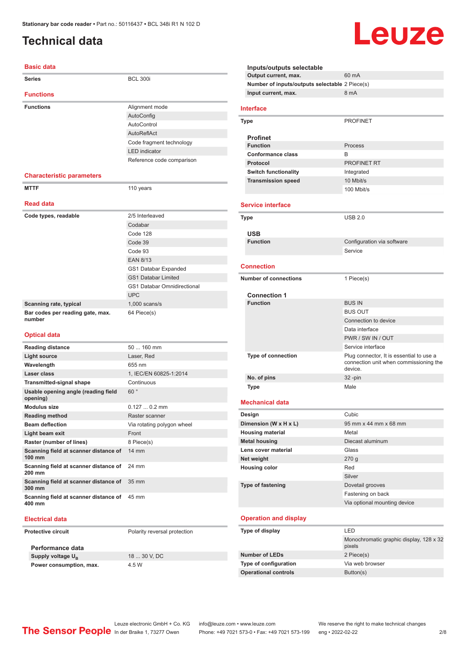## <span id="page-1-0"></span>**Technical data**

#### **Basic data**

| <b>Series</b>                                   | <b>BCL 300i</b>                    |  |  |
|-------------------------------------------------|------------------------------------|--|--|
| <b>Functions</b>                                |                                    |  |  |
| <b>Functions</b>                                | Alignment mode                     |  |  |
|                                                 | AutoConfig                         |  |  |
|                                                 | AutoControl                        |  |  |
|                                                 | AutoReflAct                        |  |  |
|                                                 | Code fragment technology           |  |  |
|                                                 | <b>LED</b> indicator               |  |  |
|                                                 | Reference code comparison          |  |  |
| <b>Characteristic parameters</b>                |                                    |  |  |
| <b>MTTF</b>                                     | 110 years                          |  |  |
| <b>Read data</b>                                |                                    |  |  |
| Code types, readable                            | 2/5 Interleaved                    |  |  |
|                                                 | Codabar                            |  |  |
|                                                 | Code 128                           |  |  |
|                                                 | Code 39                            |  |  |
|                                                 | Code 93                            |  |  |
|                                                 | <b>EAN 8/13</b>                    |  |  |
|                                                 | GS1 Databar Expanded               |  |  |
|                                                 | <b>GS1 Databar Limited</b>         |  |  |
|                                                 | <b>GS1 Databar Omnidirectional</b> |  |  |
|                                                 | <b>UPC</b>                         |  |  |
| Scanning rate, typical                          | $1,000$ scans/s                    |  |  |
| Bar codes per reading gate, max.<br>number      | 64 Piece(s)                        |  |  |
| <b>Optical data</b>                             |                                    |  |  |
| <b>Reading distance</b>                         | 50  160 mm                         |  |  |
| <b>Light source</b>                             | Laser, Red                         |  |  |
| Wavelength                                      | 655 nm                             |  |  |
| Laser class                                     | 1, IEC/EN 60825-1:2014             |  |  |
| <b>Transmitted-signal shape</b>                 | Continuous                         |  |  |
| Usable opening angle (reading field<br>opening) | 60°                                |  |  |
| <b>Modulus size</b>                             | $0.1270.2$ mm                      |  |  |
| <b>Reading method</b>                           | Raster scanner                     |  |  |
| <b>Beam deflection</b>                          | Via rotating polygon wheel         |  |  |
| Light beam exit                                 | Front                              |  |  |
| Raster (number of lines)                        | 8 Piece(s)                         |  |  |
| Scanning field at scanner distance of<br>100 mm | <b>14 mm</b>                       |  |  |
| Scanning field at scanner distance of<br>200 mm | 24 mm                              |  |  |

| Inputs/outputs selectable                      |                                                                                               |  |  |  |
|------------------------------------------------|-----------------------------------------------------------------------------------------------|--|--|--|
| Output current, max.                           | 60 mA                                                                                         |  |  |  |
| Number of inputs/outputs selectable 2 Piece(s) |                                                                                               |  |  |  |
| Input current, max.                            | 8 mA                                                                                          |  |  |  |
| Interface                                      |                                                                                               |  |  |  |
| Type                                           | <b>PROFINET</b>                                                                               |  |  |  |
| <b>Profinet</b>                                |                                                                                               |  |  |  |
| <b>Function</b>                                | Process                                                                                       |  |  |  |
| <b>Conformance class</b>                       | B                                                                                             |  |  |  |
| Protocol                                       | <b>PROFINET RT</b>                                                                            |  |  |  |
| <b>Switch functionality</b>                    | Integrated                                                                                    |  |  |  |
| <b>Transmission speed</b>                      | 10 Mbit/s                                                                                     |  |  |  |
|                                                | 100 Mbit/s                                                                                    |  |  |  |
| <b>Service interface</b>                       |                                                                                               |  |  |  |
| Type                                           | <b>USB 2.0</b>                                                                                |  |  |  |
|                                                |                                                                                               |  |  |  |
| USB<br><b>Function</b>                         | Configuration via software                                                                    |  |  |  |
|                                                | Service                                                                                       |  |  |  |
|                                                |                                                                                               |  |  |  |
| <b>Connection</b>                              |                                                                                               |  |  |  |
| <b>Number of connections</b>                   | 1 Piece(s)                                                                                    |  |  |  |
| <b>Connection 1</b>                            |                                                                                               |  |  |  |
| <b>Function</b>                                | <b>BUS IN</b>                                                                                 |  |  |  |
|                                                | <b>BUS OUT</b>                                                                                |  |  |  |
|                                                | Connection to device                                                                          |  |  |  |
|                                                | Data interface                                                                                |  |  |  |
|                                                | PWR / SW IN / OUT                                                                             |  |  |  |
|                                                | Service interface                                                                             |  |  |  |
| <b>Type of connection</b>                      | Plug connector, It is essential to use a<br>connection unit when commissioning the<br>device. |  |  |  |
| No. of pins                                    | $32 - pin$                                                                                    |  |  |  |
| Type                                           | Male                                                                                          |  |  |  |
| <b>Mechanical data</b>                         |                                                                                               |  |  |  |
| Design                                         | Cubic                                                                                         |  |  |  |
| Dimension (W x H x L)                          | 95 mm x 44 mm x 68 mm                                                                         |  |  |  |
| <b>Housing material</b>                        | Metal                                                                                         |  |  |  |
| <b>Metal housing</b>                           | Diecast aluminum                                                                              |  |  |  |
| Lens cover material                            | Glass                                                                                         |  |  |  |
| Net weight                                     | 270g                                                                                          |  |  |  |
| <b>Housing color</b>                           | Red                                                                                           |  |  |  |
|                                                | Silver                                                                                        |  |  |  |
| Type of fastening                              | Dovetail grooves                                                                              |  |  |  |
|                                                | Fastening on back                                                                             |  |  |  |
|                                                | Via optional mounting device                                                                  |  |  |  |
| <b>Operation and display</b>                   |                                                                                               |  |  |  |
| Type of display                                | LED                                                                                           |  |  |  |
|                                                | Monochromatic graphic display, 128 x 32                                                       |  |  |  |
|                                                | pixels                                                                                        |  |  |  |
|                                                | 2 Piece(s)                                                                                    |  |  |  |
| <b>Number of LEDs</b>                          |                                                                                               |  |  |  |
| Type of configuration                          | Via web browser                                                                               |  |  |  |
| <b>Operational controls</b>                    | Button(s)                                                                                     |  |  |  |

Leuze

#### **Electrical data**

**300 mm**

**400 mm**

**Protective circuit** Polarity reversal protection

**Performance data Supply voltage U<sub>B</sub> Power consumption, max.** 4.5 W

**Scanning field at scanner distance of**  35 mm

**Scanning field at scanner distance of**  45 mm

18 ... 30 V, DC

Leuze electronic GmbH + Co. KG info@leuze.com • www.leuze.com We reserve the right to make technical changes<br>
The Sensor People in der Braike 1, 73277 Owen Phone: +49 7021 573-0 • Fax: +49 7021 573-199 eng • 2022-02-22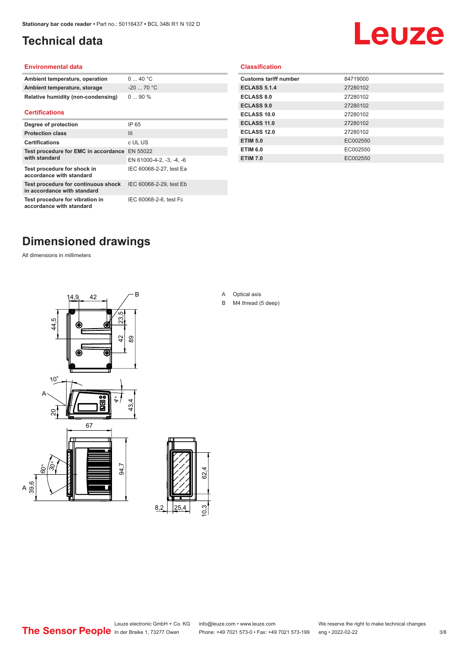## <span id="page-2-0"></span>**Technical data**

# Leuze

#### **Environmental data**

| Ambient temperature, operation     | 0  40 °C   |
|------------------------------------|------------|
| Ambient temperature, storage       | $-2070 °C$ |
| Relative humidity (non-condensing) | $090\%$    |

#### **Certifications**

| Degree of protection                                               | IP 65                    |
|--------------------------------------------------------------------|--------------------------|
| <b>Protection class</b>                                            | Ш                        |
| <b>Certifications</b>                                              | c UL US                  |
| Test procedure for EMC in accordance EN 55022                      |                          |
| with standard                                                      | EN 61000-4-2, -3, -4, -6 |
| Test procedure for shock in<br>accordance with standard            | IEC 60068-2-27, test Ea  |
| Test procedure for continuous shock<br>in accordance with standard | IEC 60068-2-29, test Eb  |
| Test procedure for vibration in<br>accordance with standard        | IEC 60068-2-6, test Fc   |

#### **Classification**

| <b>Customs tariff number</b> | 84719000 |
|------------------------------|----------|
| <b>ECLASS 5.1.4</b>          | 27280102 |
| <b>ECLASS 8.0</b>            | 27280102 |
| <b>ECLASS 9.0</b>            | 27280102 |
| ECLASS 10.0                  | 27280102 |
| ECLASS 11.0                  | 27280102 |
| ECLASS 12.0                  | 27280102 |
| <b>ETIM 5.0</b>              | EC002550 |
| <b>ETIM 6.0</b>              | EC002550 |
| <b>ETIM 7.0</b>              | EC002550 |
|                              |          |

## **Dimensioned drawings**

All dimensions in millimeters





#### A Optical axis

B M4 thread (5 deep)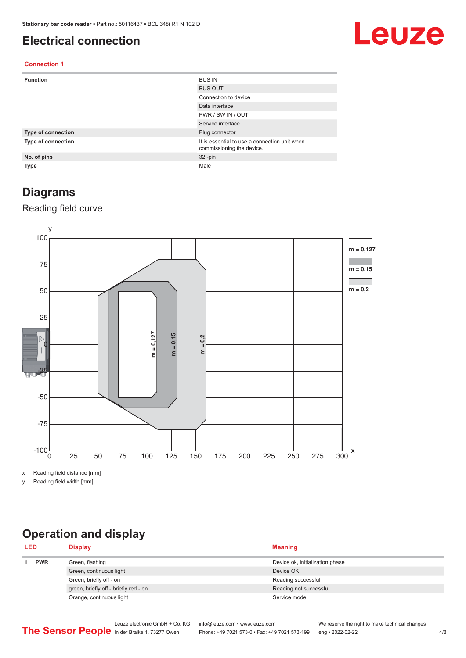## <span id="page-3-0"></span>**Electrical connection**

## Leuze

#### **Connection 1**

| <b>Function</b>    | <b>BUS IN</b>                                                              |
|--------------------|----------------------------------------------------------------------------|
|                    | <b>BUS OUT</b>                                                             |
|                    | Connection to device                                                       |
|                    | Data interface                                                             |
|                    | PWR / SW IN / OUT                                                          |
|                    | Service interface                                                          |
| Type of connection | Plug connector                                                             |
| Type of connection | It is essential to use a connection unit when<br>commissioning the device. |
| No. of pins        | $32 - pin$                                                                 |
| Type               | Male                                                                       |

### **Diagrams**

### Reading field curve



x Reading field distance [mm]

y Reading field width [mm]

## **Operation and display**

| <b>LED</b> |  | <b>Display</b>                        | <b>Meaning</b>                  |
|------------|--|---------------------------------------|---------------------------------|
| <b>PWR</b> |  | Green, flashing                       | Device ok, initialization phase |
|            |  | Green, continuous light               | Device OK                       |
|            |  | Green, briefly off - on               | Reading successful              |
|            |  | green, briefly off - briefly red - on | Reading not successful          |
|            |  | Orange, continuous light              | Service mode                    |
|            |  |                                       |                                 |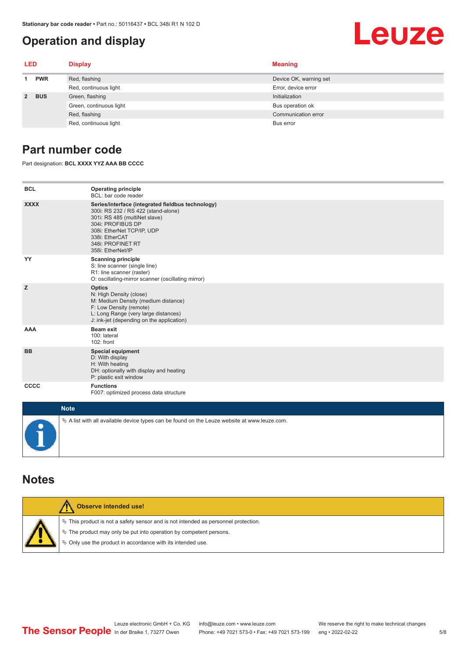## <span id="page-4-0"></span>**Operation and display**

#### **LED Display Meaning 1 PWR** Red, flashing **Device OK, warning set** Device OK, warning set Red, continuous light Error, device error **2 BUS** Green, flashing **Initialization** Initialization Green, continuous light Bus operation of Bus operation of Bus operation of Bus operation of Red, flashing Communication error communication error communication error communication error Red, continuous light Bus error

## **Part number code**

Part designation: **BCL XXXX YYZ AAA BB CCCC**

| <b>BCL</b>  | <b>Operating principle</b><br>BCL: bar code reader                                                                                                                                                                                       |
|-------------|------------------------------------------------------------------------------------------------------------------------------------------------------------------------------------------------------------------------------------------|
| <b>XXXX</b> | Series/interface (integrated fieldbus technology)<br>300i: RS 232 / RS 422 (stand-alone)<br>301i: RS 485 (multiNet slave)<br>304i: PROFIBUS DP<br>308i: EtherNet TCP/IP, UDP<br>338i: EtherCAT<br>348i: PROFINET RT<br>358i: EtherNet/IP |
| YY          | <b>Scanning principle</b><br>S: line scanner (single line)<br>R1: line scanner (raster)<br>O: oscillating-mirror scanner (oscillating mirror)                                                                                            |
| z           | <b>Optics</b><br>N: High Density (close)<br>M: Medium Density (medium distance)<br>F: Low Density (remote)<br>L: Long Range (very large distances)<br>J: ink-jet (depending on the application)                                          |
| <b>AAA</b>  | <b>Beam exit</b><br>100: lateral<br>102: front                                                                                                                                                                                           |
| <b>BB</b>   | <b>Special equipment</b><br>D: With display<br>H: With heating<br>DH: optionally with display and heating<br>P: plastic exit window                                                                                                      |
| CCCC        | <b>Functions</b><br>F007: optimized process data structure                                                                                                                                                                               |
| <b>Mata</b> |                                                                                                                                                                                                                                          |

| <b>Note</b>                                                                                       |
|---------------------------------------------------------------------------------------------------|
| $\psi$ A list with all available device types can be found on the Leuze website at www.leuze.com. |

### **Notes**

| Observe intended use!                                                                                                                                                                                                      |
|----------------------------------------------------------------------------------------------------------------------------------------------------------------------------------------------------------------------------|
| $\%$ This product is not a safety sensor and is not intended as personnel protection.<br>§ The product may only be put into operation by competent persons.<br>♦ Only use the product in accordance with its intended use. |

Leuze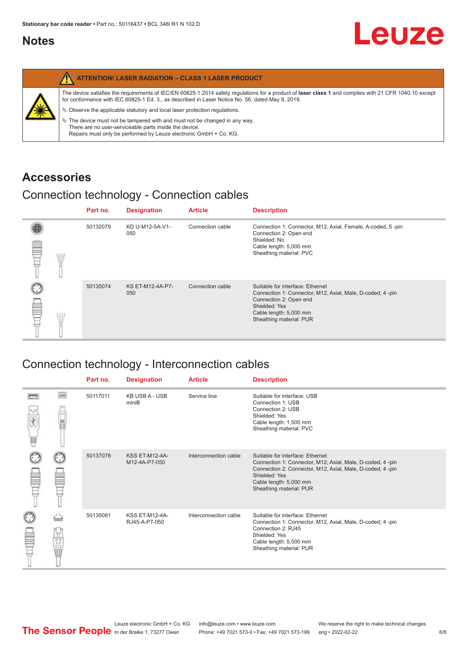## <span id="page-5-0"></span>**Notes**

|   | <b>ATTENTION! LASER RADIATION - CLASS 1 LASER PRODUCT</b>                                                                                                                                                                                                  |
|---|------------------------------------------------------------------------------------------------------------------------------------------------------------------------------------------------------------------------------------------------------------|
| 纂 | The device satisfies the requirements of IEC/EN 60825-1:2014 safety requlations for a product of laser class 1 and complies with 21 CFR 1040.10 except<br>for conformance with IEC 60825-1 Ed. 3., as described in Laser Notice No. 56, dated May 8, 2019. |
|   | $\&$ Observe the applicable statutory and local laser protection regulations.                                                                                                                                                                              |
|   | $\%$ The device must not be tampered with and must not be changed in any way.<br>There are no user-serviceable parts inside the device.<br>Repairs must only be performed by Leuze electronic GmbH + Co. KG.                                               |

## **Accessories**

## Connection technology - Connection cables

|      | Part no. | <b>Designation</b>      | <b>Article</b>   | <b>Description</b>                                                                                                                                                                            |
|------|----------|-------------------------|------------------|-----------------------------------------------------------------------------------------------------------------------------------------------------------------------------------------------|
| \ll. | 50132079 | KD U-M12-5A-V1-<br>050  | Connection cable | Connection 1: Connector, M12, Axial, Female, A-coded, 5-pin<br>Connection 2: Open end<br>Shielded: No<br>Cable length: 5,000 mm<br>Sheathing material: PVC                                    |
|      | 50135074 | KS ET-M12-4A-P7-<br>050 | Connection cable | Suitable for interface: Ethernet<br>Connection 1: Connector, M12, Axial, Male, D-coded, 4-pin<br>Connection 2: Open end<br>Shielded: Yes<br>Cable length: 5,000 mm<br>Sheathing material: PUR |

## Connection technology - Interconnection cables

|   |           | Part no. | <b>Designation</b>                     | <b>Article</b>        | <b>Description</b>                                                                                                                                                                                                               |
|---|-----------|----------|----------------------------------------|-----------------------|----------------------------------------------------------------------------------------------------------------------------------------------------------------------------------------------------------------------------------|
| 肩 | $\Box$    | 50117011 | <b>KB USB A - USB</b><br>miniB         | Service line          | Suitable for interface: USB<br>Connection 1: USB<br>Connection 2: USB<br>Shielded: Yes<br>Cable length: 1,500 mm<br>Sheathing material: PVC                                                                                      |
|   |           | 50137078 | <b>KSS ET-M12-4A-</b><br>M12-4A-P7-050 | Interconnection cable | Suitable for interface: Ethernet<br>Connection 1: Connector, M12, Axial, Male, D-coded, 4-pin<br>Connection 2: Connector, M12, Axial, Male, D-coded, 4-pin<br>Shielded: Yes<br>Cable length: 5,000 mm<br>Sheathing material: PUR |
|   | t<br>Sepa | 50135081 | KSS ET-M12-4A-<br>RJ45-A-P7-050        | Interconnection cable | Suitable for interface: Ethernet<br>Connection 1: Connector, M12, Axial, Male, D-coded, 4-pin<br>Connection 2: RJ45<br>Shielded: Yes<br>Cable length: 5,000 mm<br>Sheathing material: PUR                                        |

Leuze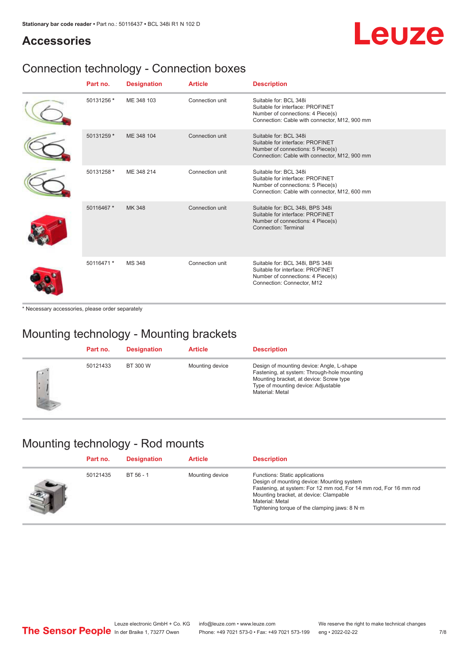## Leuze

## **Accessories**

## Connection technology - Connection boxes

| Part no.   | <b>Designation</b> | <b>Article</b>  | <b>Description</b>                                                                                                                               |
|------------|--------------------|-----------------|--------------------------------------------------------------------------------------------------------------------------------------------------|
| 50131256 * | ME 348 103         | Connection unit | Suitable for: BCL 348i<br>Suitable for interface: PROFINET<br>Number of connections: 4 Piece(s)<br>Connection: Cable with connector, M12, 900 mm |
| 50131259 * | ME 348 104         | Connection unit | Suitable for: BCL 348i<br>Suitable for interface: PROFINET<br>Number of connections: 5 Piece(s)<br>Connection: Cable with connector, M12, 900 mm |
| 50131258 * | ME 348 214         | Connection unit | Suitable for: BCL 348i<br>Suitable for interface: PROFINET<br>Number of connections: 5 Piece(s)<br>Connection: Cable with connector, M12, 600 mm |
| 50116467 * | MK 348             | Connection unit | Suitable for: BCL 348i, BPS 348i<br>Suitable for interface: PROFINET<br>Number of connections: 4 Piece(s)<br>Connection: Terminal                |
| 50116471 * | <b>MS 348</b>      | Connection unit | Suitable for: BCL 348i, BPS 348i<br>Suitable for interface: PROFINET<br>Number of connections: 4 Piece(s)<br>Connection: Connector, M12          |

\* Necessary accessories, please order separately

## Mounting technology - Mounting brackets

|             | Part no. | <b>Designation</b> | <b>Article</b>  | <b>Description</b>                                                                                                                                                                            |
|-------------|----------|--------------------|-----------------|-----------------------------------------------------------------------------------------------------------------------------------------------------------------------------------------------|
| $\sim$<br>٠ | 50121433 | BT 300 W           | Mounting device | Design of mounting device: Angle, L-shape<br>Fastening, at system: Through-hole mounting<br>Mounting bracket, at device: Screw type<br>Type of mounting device: Adjustable<br>Material: Metal |

## Mounting technology - Rod mounts

| Part no. | <b>Designation</b> | <b>Article</b>  | <b>Description</b>                                                                                                                                                                                                                                                |
|----------|--------------------|-----------------|-------------------------------------------------------------------------------------------------------------------------------------------------------------------------------------------------------------------------------------------------------------------|
| 50121435 | BT 56 - 1          | Mounting device | Functions: Static applications<br>Design of mounting device: Mounting system<br>Fastening, at system: For 12 mm rod, For 14 mm rod, For 16 mm rod<br>Mounting bracket, at device: Clampable<br>Material: Metal<br>Tightening torque of the clamping jaws: $8 N·m$ |